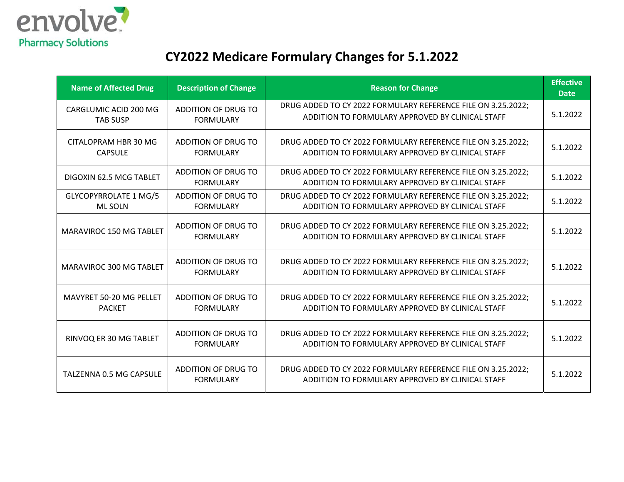

# **CY2022 Medicare Formulary Changes for 5.1.2022**

| <b>Name of Affected Drug</b>                    | <b>Description of Change</b>                   | <b>Reason for Change</b>                                                                                         | <b>Effective</b><br><b>Date</b> |
|-------------------------------------------------|------------------------------------------------|------------------------------------------------------------------------------------------------------------------|---------------------------------|
| CARGLUMIC ACID 200 MG<br><b>TAB SUSP</b>        | ADDITION OF DRUG TO<br><b>FORMULARY</b>        | DRUG ADDED TO CY 2022 FORMULARY REFERENCE FILE ON 3.25.2022;<br>ADDITION TO FORMULARY APPROVED BY CLINICAL STAFF | 5.1.2022                        |
| CITALOPRAM HBR 30 MG<br><b>CAPSULE</b>          | ADDITION OF DRUG TO<br><b>FORMULARY</b>        | DRUG ADDED TO CY 2022 FORMULARY REFERENCE FILE ON 3.25.2022;<br>ADDITION TO FORMULARY APPROVED BY CLINICAL STAFF | 5.1.2022                        |
| DIGOXIN 62.5 MCG TABLET                         | ADDITION OF DRUG TO<br><b>FORMULARY</b>        | DRUG ADDED TO CY 2022 FORMULARY REFERENCE FILE ON 3.25.2022;<br>ADDITION TO FORMULARY APPROVED BY CLINICAL STAFF | 5.1.2022                        |
| <b>GLYCOPYRROLATE 1 MG/5</b><br><b>ML SOLN</b>  | ADDITION OF DRUG TO<br><b>FORMULARY</b>        | DRUG ADDED TO CY 2022 FORMULARY REFERENCE FILE ON 3.25.2022;<br>ADDITION TO FORMULARY APPROVED BY CLINICAL STAFF | 5.1.2022                        |
| MARAVIROC 150 MG TABLET                         | <b>ADDITION OF DRUG TO</b><br><b>FORMULARY</b> | DRUG ADDED TO CY 2022 FORMULARY REFERENCE FILE ON 3.25.2022;<br>ADDITION TO FORMULARY APPROVED BY CLINICAL STAFF | 5.1.2022                        |
| MARAVIROC 300 MG TABLET                         | ADDITION OF DRUG TO<br><b>FORMULARY</b>        | DRUG ADDED TO CY 2022 FORMULARY REFERENCE FILE ON 3.25.2022;<br>ADDITION TO FORMULARY APPROVED BY CLINICAL STAFF | 5.1.2022                        |
| <b>MAVYRET 50-20 MG PELLET</b><br><b>PACKET</b> | ADDITION OF DRUG TO<br><b>FORMULARY</b>        | DRUG ADDED TO CY 2022 FORMULARY REFERENCE FILE ON 3.25.2022;<br>ADDITION TO FORMULARY APPROVED BY CLINICAL STAFF | 5.1.2022                        |
| RINVOQ ER 30 MG TABLET                          | ADDITION OF DRUG TO<br><b>FORMULARY</b>        | DRUG ADDED TO CY 2022 FORMULARY REFERENCE FILE ON 3.25.2022;<br>ADDITION TO FORMULARY APPROVED BY CLINICAL STAFF | 5.1.2022                        |
| TALZENNA 0.5 MG CAPSULE                         | ADDITION OF DRUG TO<br><b>FORMULARY</b>        | DRUG ADDED TO CY 2022 FORMULARY REFERENCE FILE ON 3.25.2022;<br>ADDITION TO FORMULARY APPROVED BY CLINICAL STAFF | 5.1.2022                        |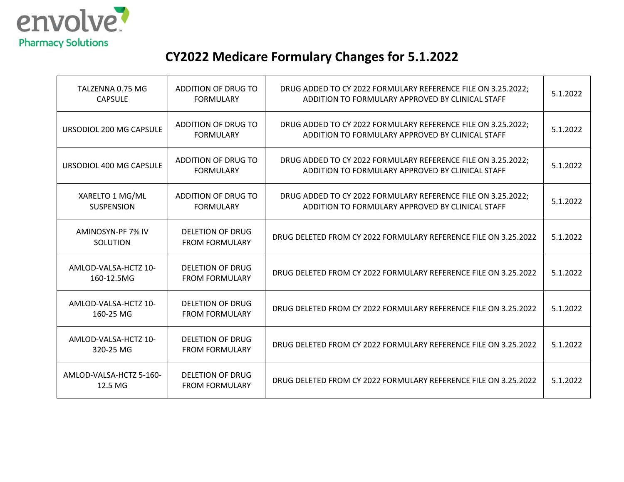

# **CY2022 Medicare Formulary Changes for 5.1.2022**

| TALZENNA 0.75 MG<br><b>CAPSULE</b>   | ADDITION OF DRUG TO<br><b>FORMULARY</b>          | DRUG ADDED TO CY 2022 FORMULARY REFERENCE FILE ON 3.25.2022;<br>ADDITION TO FORMULARY APPROVED BY CLINICAL STAFF | 5.1.2022 |
|--------------------------------------|--------------------------------------------------|------------------------------------------------------------------------------------------------------------------|----------|
| URSODIOL 200 MG CAPSULE              | ADDITION OF DRUG TO<br><b>FORMULARY</b>          | DRUG ADDED TO CY 2022 FORMULARY REFERENCE FILE ON 3.25.2022;<br>ADDITION TO FORMULARY APPROVED BY CLINICAL STAFF | 5.1.2022 |
| URSODIOL 400 MG CAPSULE              | ADDITION OF DRUG TO<br><b>FORMULARY</b>          | DRUG ADDED TO CY 2022 FORMULARY REFERENCE FILE ON 3.25.2022;<br>ADDITION TO FORMULARY APPROVED BY CLINICAL STAFF | 5.1.2022 |
| XARELTO 1 MG/ML<br><b>SUSPENSION</b> | ADDITION OF DRUG TO<br><b>FORMULARY</b>          | DRUG ADDED TO CY 2022 FORMULARY REFERENCE FILE ON 3.25.2022;<br>ADDITION TO FORMULARY APPROVED BY CLINICAL STAFF | 5.1.2022 |
| AMINOSYN-PF 7% IV<br>SOLUTION        | DELETION OF DRUG<br><b>FROM FORMULARY</b>        | DRUG DELETED FROM CY 2022 FORMULARY REFERENCE FILE ON 3.25.2022                                                  | 5.1.2022 |
| AMLOD-VALSA-HCTZ 10-<br>160-12.5MG   | <b>DELETION OF DRUG</b><br><b>FROM FORMULARY</b> | DRUG DELETED FROM CY 2022 FORMULARY REFERENCE FILE ON 3.25.2022                                                  | 5.1.2022 |
| AMLOD-VALSA-HCTZ 10-<br>160-25 MG    | <b>DELETION OF DRUG</b><br><b>FROM FORMULARY</b> | DRUG DELETED FROM CY 2022 FORMULARY REFERENCE FILE ON 3.25.2022                                                  | 5.1.2022 |
| AMLOD-VALSA-HCTZ 10-<br>320-25 MG    | <b>DELETION OF DRUG</b><br><b>FROM FORMULARY</b> | DRUG DELETED FROM CY 2022 FORMULARY REFERENCE FILE ON 3.25.2022                                                  | 5.1.2022 |
| AMLOD-VALSA-HCTZ 5-160-<br>12.5 MG   | <b>DELETION OF DRUG</b><br><b>FROM FORMULARY</b> | DRUG DELETED FROM CY 2022 FORMULARY REFERENCE FILE ON 3.25.2022                                                  | 5.1.2022 |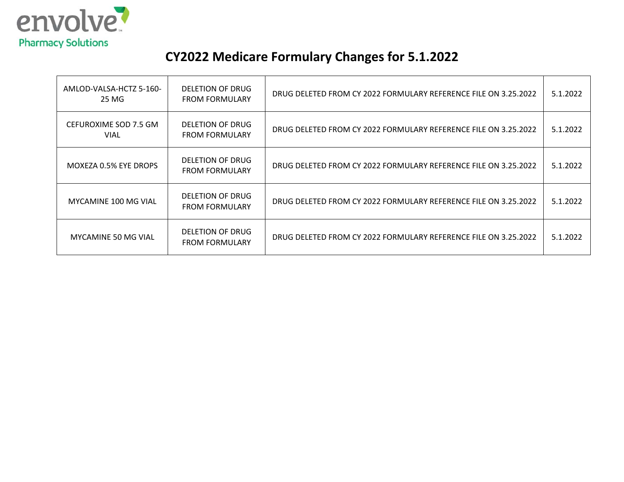

# **CY2022 Medicare Formulary Changes for 5.1.2022**

| AMLOD-VALSA-HCTZ 5-160-<br>25 MG     | DELETION OF DRUG<br><b>FROM FORMULARY</b> | DRUG DELETED FROM CY 2022 FORMULARY REFERENCE FILE ON 3.25.2022 | 5.1.2022 |
|--------------------------------------|-------------------------------------------|-----------------------------------------------------------------|----------|
| CEFUROXIME SOD 7.5 GM<br><b>VIAL</b> | DELETION OF DRUG<br><b>FROM FORMULARY</b> | DRUG DELETED FROM CY 2022 FORMULARY REFERENCE FILE ON 3.25.2022 | 5.1.2022 |
| MOXEZA 0.5% EYE DROPS                | DELETION OF DRUG<br><b>FROM FORMULARY</b> | DRUG DELETED FROM CY 2022 FORMULARY REFERENCE FILE ON 3.25.2022 | 5.1.2022 |
| MYCAMINE 100 MG VIAL                 | DELETION OF DRUG<br><b>FROM FORMULARY</b> | DRUG DELETED FROM CY 2022 FORMULARY REFERENCE FILE ON 3.25.2022 | 5.1.2022 |
| MYCAMINE 50 MG VIAL                  | DELETION OF DRUG<br><b>FROM FORMULARY</b> | DRUG DELETED FROM CY 2022 FORMULARY REFERENCE FILE ON 3.25.2022 | 5.1.2022 |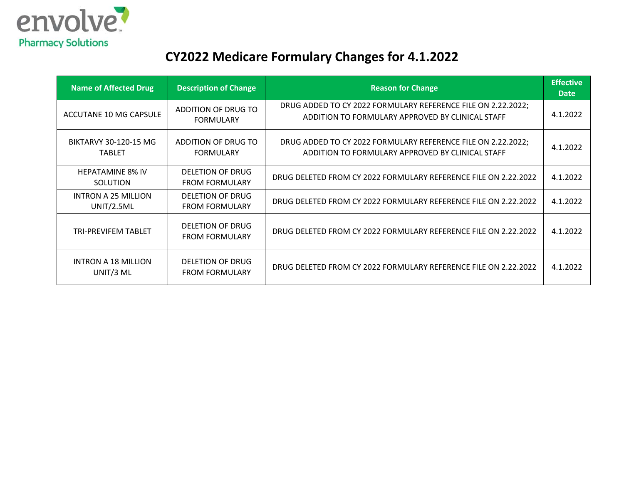

# **CY2022 Medicare Formulary Changes for 4.1.2022**

| <b>Name of Affected Drug</b>           | <b>Description of Change</b>                     | <b>Reason for Change</b>                                                                                         | <b>Effective</b><br><b>Date</b> |
|----------------------------------------|--------------------------------------------------|------------------------------------------------------------------------------------------------------------------|---------------------------------|
| ACCUTANE 10 MG CAPSULE                 | ADDITION OF DRUG TO<br><b>FORMULARY</b>          | DRUG ADDED TO CY 2022 FORMULARY REFERENCE FILE ON 2.22.2022;<br>ADDITION TO FORMULARY APPROVED BY CLINICAL STAFF | 4.1.2022                        |
| BIKTARVY 30-120-15 MG<br><b>TABLET</b> | ADDITION OF DRUG TO<br><b>FORMULARY</b>          | DRUG ADDED TO CY 2022 FORMULARY REFERENCE FILE ON 2.22.2022;<br>ADDITION TO FORMULARY APPROVED BY CLINICAL STAFF | 4.1.2022                        |
| <b>HEPATAMINE 8% IV</b><br>SOLUTION    | DELETION OF DRUG<br><b>FROM FORMULARY</b>        | DRUG DELETED FROM CY 2022 FORMULARY REFERENCE FILE ON 2.22.2022                                                  | 4.1.2022                        |
| INTRON A 25 MILLION<br>UNIT/2.5ML      | DELETION OF DRUG<br><b>FROM FORMULARY</b>        | DRUG DELETED FROM CY 2022 FORMULARY REFERENCE FILE ON 2.22.2022                                                  | 4.1.2022                        |
| TRI-PREVIFEM TABLET                    | <b>DELETION OF DRUG</b><br><b>FROM FORMULARY</b> | DRUG DELETED FROM CY 2022 FORMULARY REFERENCE FILE ON 2.22.2022                                                  | 4.1.2022                        |
| INTRON A 18 MILLION<br>UNIT/3 ML       | DELETION OF DRUG<br><b>FROM FORMULARY</b>        | DRUG DELETED FROM CY 2022 FORMULARY REFERENCE FILE ON 2.22.2022                                                  | 4.1.2022                        |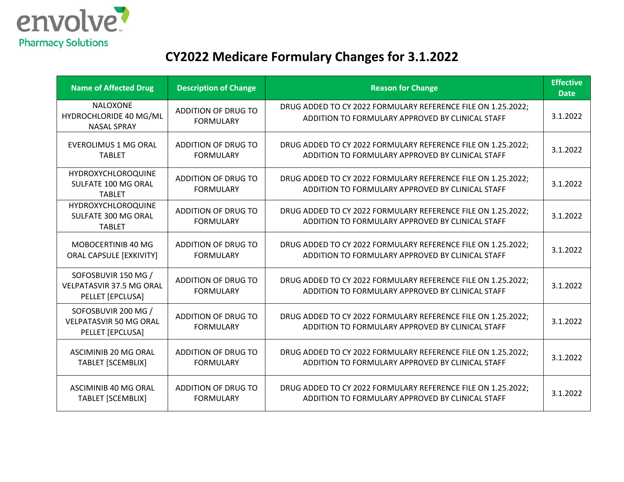

# **CY2022 Medicare Formulary Changes for 3.1.2022**

| <b>Name of Affected Drug</b>                                               | <b>Description of Change</b>                   | <b>Reason for Change</b>                                                                                         | <b>Effective</b><br><b>Date</b> |
|----------------------------------------------------------------------------|------------------------------------------------|------------------------------------------------------------------------------------------------------------------|---------------------------------|
| <b>NALOXONE</b><br>HYDROCHLORIDE 40 MG/ML<br><b>NASAL SPRAY</b>            | ADDITION OF DRUG TO<br><b>FORMULARY</b>        | DRUG ADDED TO CY 2022 FORMULARY REFERENCE FILE ON 1.25.2022;<br>ADDITION TO FORMULARY APPROVED BY CLINICAL STAFF | 3.1.2022                        |
| EVEROLIMUS 1 MG ORAL<br><b>TABLET</b>                                      | ADDITION OF DRUG TO<br><b>FORMULARY</b>        | DRUG ADDED TO CY 2022 FORMULARY REFERENCE FILE ON 1.25.2022;<br>ADDITION TO FORMULARY APPROVED BY CLINICAL STAFF | 3.1.2022                        |
| HYDROXYCHLOROQUINE<br>SULFATE 100 MG ORAL<br><b>TABLET</b>                 | ADDITION OF DRUG TO<br><b>FORMULARY</b>        | DRUG ADDED TO CY 2022 FORMULARY REFERENCE FILE ON 1.25.2022;<br>ADDITION TO FORMULARY APPROVED BY CLINICAL STAFF | 3.1.2022                        |
| HYDROXYCHLOROQUINE<br>SULFATE 300 MG ORAL<br><b>TABLET</b>                 | <b>ADDITION OF DRUG TO</b><br><b>FORMULARY</b> | DRUG ADDED TO CY 2022 FORMULARY REFERENCE FILE ON 1.25.2022;<br>ADDITION TO FORMULARY APPROVED BY CLINICAL STAFF | 3.1.2022                        |
| MOBOCERTINIB 40 MG<br><b>ORAL CAPSULE [EXKIVITY]</b>                       | ADDITION OF DRUG TO<br><b>FORMULARY</b>        | DRUG ADDED TO CY 2022 FORMULARY REFERENCE FILE ON 1.25.2022;<br>ADDITION TO FORMULARY APPROVED BY CLINICAL STAFF | 3.1.2022                        |
| SOFOSBUVIR 150 MG /<br><b>VELPATASVIR 37.5 MG ORAL</b><br>PELLET [EPCLUSA] | ADDITION OF DRUG TO<br><b>FORMULARY</b>        | DRUG ADDED TO CY 2022 FORMULARY REFERENCE FILE ON 1.25.2022;<br>ADDITION TO FORMULARY APPROVED BY CLINICAL STAFF | 3.1.2022                        |
| SOFOSBUVIR 200 MG /<br><b>VELPATASVIR 50 MG ORAL</b><br>PELLET [EPCLUSA]   | ADDITION OF DRUG TO<br><b>FORMULARY</b>        | DRUG ADDED TO CY 2022 FORMULARY REFERENCE FILE ON 1.25.2022;<br>ADDITION TO FORMULARY APPROVED BY CLINICAL STAFF | 3.1.2022                        |
| ASCIMINIB 20 MG ORAL<br><b>TABLET [SCEMBLIX]</b>                           | ADDITION OF DRUG TO<br><b>FORMULARY</b>        | DRUG ADDED TO CY 2022 FORMULARY REFERENCE FILE ON 1.25.2022;<br>ADDITION TO FORMULARY APPROVED BY CLINICAL STAFF | 3.1.2022                        |
| <b>ASCIMINIB 40 MG ORAL</b><br><b>TABLET [SCEMBLIX]</b>                    | <b>ADDITION OF DRUG TO</b><br><b>FORMULARY</b> | DRUG ADDED TO CY 2022 FORMULARY REFERENCE FILE ON 1.25.2022;<br>ADDITION TO FORMULARY APPROVED BY CLINICAL STAFF | 3.1.2022                        |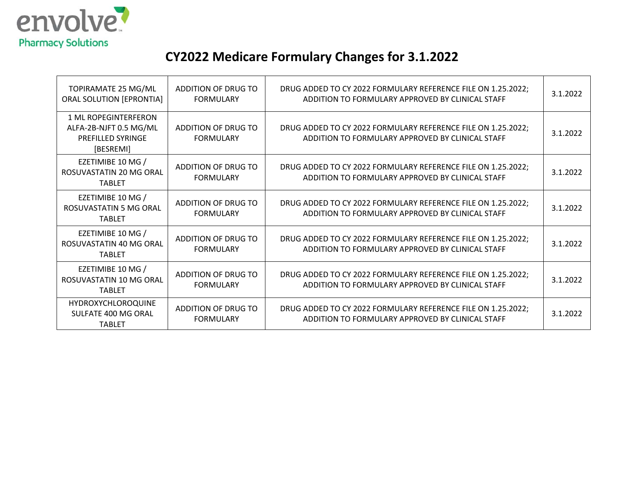

# **CY2022 Medicare Formulary Changes for 3.1.2022**

| TOPIRAMATE 25 MG/ML<br><b>ORAL SOLUTION [EPRONTIA]</b>                                  | ADDITION OF DRUG TO<br><b>FORMULARY</b> | DRUG ADDED TO CY 2022 FORMULARY REFERENCE FILE ON 1.25.2022;<br>ADDITION TO FORMULARY APPROVED BY CLINICAL STAFF | 3.1.2022 |
|-----------------------------------------------------------------------------------------|-----------------------------------------|------------------------------------------------------------------------------------------------------------------|----------|
| 1 ML ROPEGINTERFERON<br>ALFA-2B-NJFT 0.5 MG/ML<br><b>PREFILLED SYRINGE</b><br>[BESREMI] | ADDITION OF DRUG TO<br><b>FORMULARY</b> | DRUG ADDED TO CY 2022 FORMULARY REFERENCE FILE ON 1.25.2022;<br>ADDITION TO FORMULARY APPROVED BY CLINICAL STAFF | 3.1.2022 |
| EZETIMIBE 10 MG /<br>ROSUVASTATIN 20 MG ORAL<br><b>TABLET</b>                           | ADDITION OF DRUG TO<br><b>FORMULARY</b> | DRUG ADDED TO CY 2022 FORMULARY REFERENCE FILE ON 1.25.2022;<br>ADDITION TO FORMULARY APPROVED BY CLINICAL STAFF | 3.1.2022 |
| EZETIMIBE 10 MG /<br>ROSUVASTATIN 5 MG ORAL<br><b>TABLET</b>                            | ADDITION OF DRUG TO<br><b>FORMULARY</b> | DRUG ADDED TO CY 2022 FORMULARY REFERENCE FILE ON 1.25.2022;<br>ADDITION TO FORMULARY APPROVED BY CLINICAL STAFF | 3.1.2022 |
| EZETIMIBE 10 MG /<br>ROSUVASTATIN 40 MG ORAL<br><b>TABLET</b>                           | ADDITION OF DRUG TO<br><b>FORMULARY</b> | DRUG ADDED TO CY 2022 FORMULARY REFERENCE FILE ON 1.25.2022;<br>ADDITION TO FORMULARY APPROVED BY CLINICAL STAFF | 3.1.2022 |
| EZETIMIBE 10 MG /<br>ROSUVASTATIN 10 MG ORAL<br><b>TABLET</b>                           | ADDITION OF DRUG TO<br><b>FORMULARY</b> | DRUG ADDED TO CY 2022 FORMULARY REFERENCE FILE ON 1.25.2022;<br>ADDITION TO FORMULARY APPROVED BY CLINICAL STAFF | 3.1.2022 |
| <b>HYDROXYCHLOROQUINE</b><br>SULFATE 400 MG ORAL<br><b>TABLET</b>                       | ADDITION OF DRUG TO<br><b>FORMULARY</b> | DRUG ADDED TO CY 2022 FORMULARY REFERENCE FILE ON 1.25.2022;<br>ADDITION TO FORMULARY APPROVED BY CLINICAL STAFF | 3.1.2022 |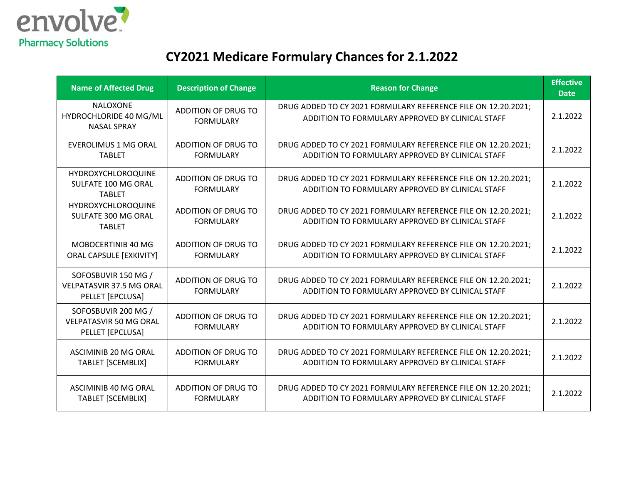

# **CY2021 Medicare Formulary Chances for 2.1.2022**

| <b>Name of Affected Drug</b>                                               | <b>Description of Change</b>                   | <b>Reason for Change</b>                                                                                          | <b>Effective</b><br><b>Date</b> |
|----------------------------------------------------------------------------|------------------------------------------------|-------------------------------------------------------------------------------------------------------------------|---------------------------------|
| <b>NALOXONE</b><br>HYDROCHLORIDE 40 MG/ML<br><b>NASAL SPRAY</b>            | ADDITION OF DRUG TO<br><b>FORMULARY</b>        | DRUG ADDED TO CY 2021 FORMULARY REFERENCE FILE ON 12.20.2021;<br>ADDITION TO FORMULARY APPROVED BY CLINICAL STAFF | 2.1.2022                        |
| <b>EVEROLIMUS 1 MG ORAL</b><br><b>TABLET</b>                               | <b>ADDITION OF DRUG TO</b><br><b>FORMULARY</b> | DRUG ADDED TO CY 2021 FORMULARY REFERENCE FILE ON 12.20.2021;<br>ADDITION TO FORMULARY APPROVED BY CLINICAL STAFF | 2.1.2022                        |
| HYDROXYCHLOROQUINE<br>SULFATE 100 MG ORAL<br><b>TABLET</b>                 | ADDITION OF DRUG TO<br><b>FORMULARY</b>        | DRUG ADDED TO CY 2021 FORMULARY REFERENCE FILE ON 12.20.2021;<br>ADDITION TO FORMULARY APPROVED BY CLINICAL STAFF | 2.1.2022                        |
| <b>HYDROXYCHLOROQUINE</b><br>SULFATE 300 MG ORAL<br><b>TABLET</b>          | <b>ADDITION OF DRUG TO</b><br><b>FORMULARY</b> | DRUG ADDED TO CY 2021 FORMULARY REFERENCE FILE ON 12.20.2021;<br>ADDITION TO FORMULARY APPROVED BY CLINICAL STAFF | 2.1.2022                        |
| MOBOCERTINIB 40 MG<br><b>ORAL CAPSULE [EXKIVITY]</b>                       | <b>ADDITION OF DRUG TO</b><br><b>FORMULARY</b> | DRUG ADDED TO CY 2021 FORMULARY REFERENCE FILE ON 12.20.2021;<br>ADDITION TO FORMULARY APPROVED BY CLINICAL STAFF | 2.1.2022                        |
| SOFOSBUVIR 150 MG /<br><b>VELPATASVIR 37.5 MG ORAL</b><br>PELLET [EPCLUSA] | <b>ADDITION OF DRUG TO</b><br><b>FORMULARY</b> | DRUG ADDED TO CY 2021 FORMULARY REFERENCE FILE ON 12.20.2021;<br>ADDITION TO FORMULARY APPROVED BY CLINICAL STAFF | 2.1.2022                        |
| SOFOSBUVIR 200 MG /<br><b>VELPATASVIR 50 MG ORAL</b><br>PELLET [EPCLUSA]   | <b>ADDITION OF DRUG TO</b><br><b>FORMULARY</b> | DRUG ADDED TO CY 2021 FORMULARY REFERENCE FILE ON 12.20.2021;<br>ADDITION TO FORMULARY APPROVED BY CLINICAL STAFF | 2.1.2022                        |
| <b>ASCIMINIB 20 MG ORAL</b><br><b>TABLET [SCEMBLIX]</b>                    | <b>ADDITION OF DRUG TO</b><br><b>FORMULARY</b> | DRUG ADDED TO CY 2021 FORMULARY REFERENCE FILE ON 12.20.2021;<br>ADDITION TO FORMULARY APPROVED BY CLINICAL STAFF | 2.1.2022                        |
| ASCIMINIB 40 MG ORAL<br><b>TABLET [SCEMBLIX]</b>                           | <b>ADDITION OF DRUG TO</b><br><b>FORMULARY</b> | DRUG ADDED TO CY 2021 FORMULARY REFERENCE FILE ON 12.20.2021;<br>ADDITION TO FORMULARY APPROVED BY CLINICAL STAFF | 2.1.2022                        |